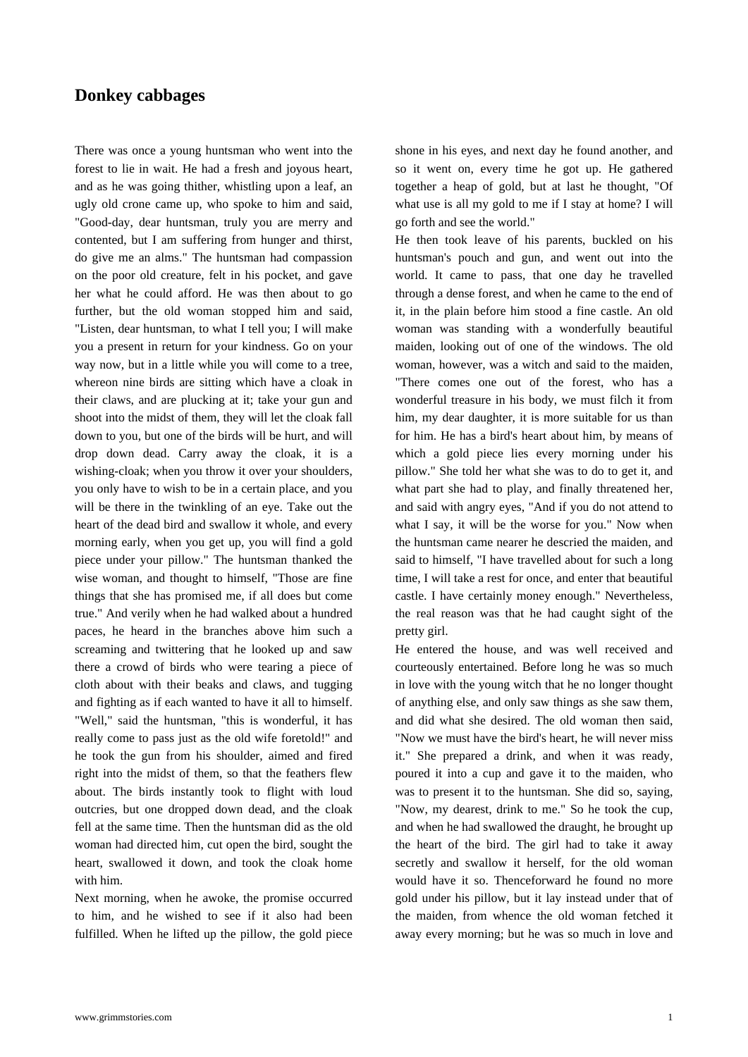## **Donkey cabbages**

[There was once a young](https://www.grimmstories.com/en/grimm_fairy-tales/donkey_cabbages) huntsman who went into the forest to lie in wait. He had a fresh and joyous heart, and as he was going thither, whistling upon a leaf, an ugly old crone came up, who spoke to him and said, "Good-day, dear huntsman, truly you are merry and contented, but I am suffering from hunger and thirst, do give me an alms." The huntsman had compassion on the poor old creature, felt in his pocket, and gave her what he could afford. He was then about to go further, but the old woman stopped him and said, "Listen, dear huntsman, to what I tell you; I will make you a present in return for your kindness. Go on your way now, but in a little while you will come to a tree, whereon nine birds are sitting which have a cloak in their claws, and are plucking at it; take your gun and shoot into the midst of them, they will let the cloak fall down to you, but one of the birds will be hurt, and will drop down dead. Carry away the cloak, it is a wishing-cloak; when you throw it over your shoulders, you only have to wish to be in a certain place, and you will be there in the twinkling of an eye. Take out the heart of the dead bird and swallow it whole, and every morning early, when you get up, you will find a gold piece under your pillow." The huntsman thanked the wise woman, and thought to himself, "Those are fine things that she has promised me, if all does but come true." And verily when he had walked about a hundred paces, he heard in the branches above him such a screaming and twittering that he looked up and saw there a crowd of birds who were tearing a piece of cloth about with their beaks and claws, and tugging and fighting as if each wanted to have it all to himself. "Well," said the huntsman, "this is wonderful, it has really come to pass just as the old wife foretold!" and he took the gun from his shoulder, aimed and fired right into the midst of them, so that the feathers flew about. The birds instantly took to flight with loud outcries, but one dropped down dead, and the cloak fell at the same time. Then the huntsman did as the old woman had directed him, cut open the bird, sought the heart, swallowed it down, and took the cloak home with him.

Next morning, when he awoke, the promise occurred to him, and he wished to see if it also had been fulfilled. When he lifted up the pillow, the gold piece shone in his eyes, and next day he found another, and so it went on, every time he got up. He gathered together a heap of gold, but at last he thought, "Of what use is all my gold to me if I stay at home? I will go forth and see the world."

He then took leave of his parents, buckled on his huntsman's pouch and gun, and went out into the world. It came to pass, that one day he travelled through a dense forest, and when he came to the end of it, in the plain before him stood a fine castle. An old woman was standing with a wonderfully beautiful maiden, looking out of one of the windows. The old woman, however, was a witch and said to the maiden, "There comes one out of the forest, who has a wonderful treasure in his body, we must filch it from him, my dear daughter, it is more suitable for us than for him. He has a bird's heart about him, by means of which a gold piece lies every morning under his pillow." She told her what she was to do to get it, and what part she had to play, and finally threatened her, and said with angry eyes, "And if you do not attend to what I say, it will be the worse for you." Now when the huntsman came nearer he descried the maiden, and said to himself, "I have travelled about for such a long time, I will take a rest for once, and enter that beautiful castle. I have certainly money enough." Nevertheless, the real reason was that he had caught sight of the pretty girl.

He entered the house, and was well received and courteously entertained. Before long he was so much in love with the young witch that he no longer thought of anything else, and only saw things as she saw them, and did what she desired. The old woman then said, "Now we must have the bird's heart, he will never miss it." She prepared a drink, and when it was ready, poured it into a cup and gave it to the maiden, who was to present it to the huntsman. She did so, saying, "Now, my dearest, drink to me." So he took the cup, and when he had swallowed the draught, he brought up the heart of the bird. The girl had to take it away secretly and swallow it herself, for the old woman would have it so. Thenceforward he found no more gold under his pillow, but it lay instead under that of the maiden, from whence the old woman fetched it away every morning; but he was so much in love and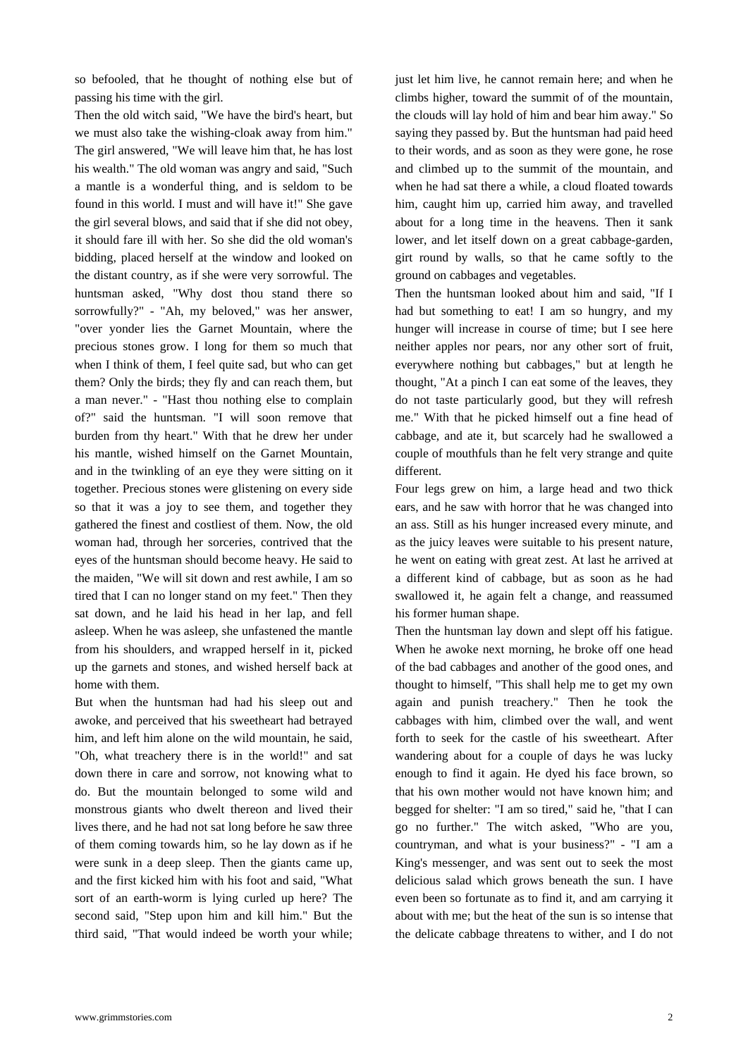so befooled, that he thought of nothing else but of passing his time with the girl.

Then the old witch said, "We have the bird's heart, but we must also take the wishing-cloak away from him." The girl answered, "We will leave him that, he has lost his wealth." The old woman was angry and said, "Such a mantle is a wonderful thing, and is seldom to be found in this world. I must and will have it!" She gave the girl several blows, and said that if she did not obey, it should fare ill with her. So she did the old woman's bidding, placed herself at the window and looked on the distant country, as if she were very sorrowful. The huntsman asked, "Why dost thou stand there so sorrowfully?" - "Ah, my beloved," was her answer, "over yonder lies the Garnet Mountain, where the precious stones grow. I long for them so much that when I think of them, I feel quite sad, but who can get them? Only the birds; they fly and can reach them, but a man never." - "Hast thou nothing else to complain of?" said the huntsman. "I will soon remove that burden from thy heart." With that he drew her under his mantle, wished himself on the Garnet Mountain, and in the twinkling of an eye they were sitting on it together. Precious stones were glistening on every side so that it was a joy to see them, and together they gathered the finest and costliest of them. Now, the old woman had, through her sorceries, contrived that the eyes of the huntsman should become heavy. He said to the maiden, "We will sit down and rest awhile, I am so tired that I can no longer stand on my feet." Then they sat down, and he laid his head in her lap, and fell asleep. When he was asleep, she unfastened the mantle from his shoulders, and wrapped herself in it, picked up the garnets and stones, and wished herself back at home with them.

But when the huntsman had had his sleep out and awoke, and perceived that his sweetheart had betrayed him, and left him alone on the wild mountain, he said, "Oh, what treachery there is in the world!" and sat down there in care and sorrow, not knowing what to do. But the mountain belonged to some wild and monstrous giants who dwelt thereon and lived their lives there, and he had not sat long before he saw three of them coming towards him, so he lay down as if he were sunk in a deep sleep. Then the giants came up, and the first kicked him with his foot and said, "What sort of an earth-worm is lying curled up here? The second said, "Step upon him and kill him." But the third said, "That would indeed be worth your while; just let him live, he cannot remain here; and when he climbs higher, toward the summit of of the mountain, the clouds will lay hold of him and bear him away." So saying they passed by. But the huntsman had paid heed to their words, and as soon as they were gone, he rose and climbed up to the summit of the mountain, and when he had sat there a while, a cloud floated towards him, caught him up, carried him away, and travelled about for a long time in the heavens. Then it sank lower, and let itself down on a great cabbage-garden, girt round by walls, so that he came softly to the ground on cabbages and vegetables.

Then the huntsman looked about him and said, "If I had but something to eat! I am so hungry, and my hunger will increase in course of time; but I see here neither apples nor pears, nor any other sort of fruit, everywhere nothing but cabbages," but at length he thought, "At a pinch I can eat some of the leaves, they do not taste particularly good, but they will refresh me." With that he picked himself out a fine head of cabbage, and ate it, but scarcely had he swallowed a couple of mouthfuls than he felt very strange and quite different.

Four legs grew on him, a large head and two thick ears, and he saw with horror that he was changed into an ass. Still as his hunger increased every minute, and as the juicy leaves were suitable to his present nature, he went on eating with great zest. At last he arrived at a different kind of cabbage, but as soon as he had swallowed it, he again felt a change, and reassumed his former human shape.

Then the huntsman lay down and slept off his fatigue. When he awoke next morning, he broke off one head of the bad cabbages and another of the good ones, and thought to himself, "This shall help me to get my own again and punish treachery." Then he took the cabbages with him, climbed over the wall, and went forth to seek for the castle of his sweetheart. After wandering about for a couple of days he was lucky enough to find it again. He dyed his face brown, so that his own mother would not have known him; and begged for shelter: "I am so tired," said he, "that I can go no further." The witch asked, "Who are you, countryman, and what is your business?" - "I am a King's messenger, and was sent out to seek the most delicious salad which grows beneath the sun. I have even been so fortunate as to find it, and am carrying it about with me; but the heat of the sun is so intense that the delicate cabbage threatens to wither, and I do not